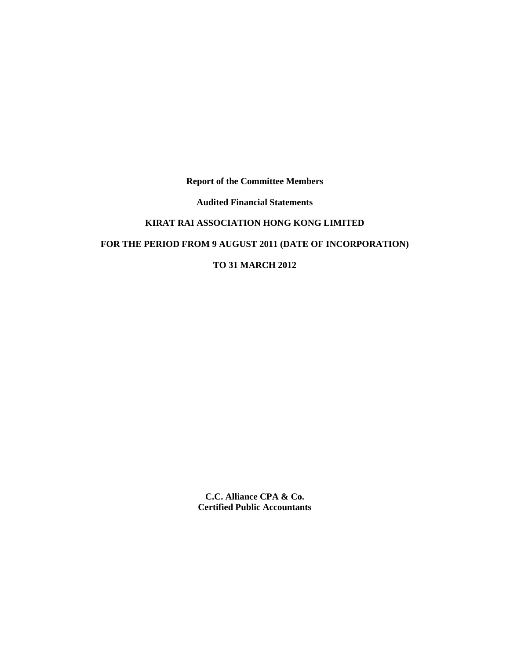**Report of the Committee Members**

**Audited Financial Statements**

# **KIRAT RAI ASSOCIATION HONG KONG LIMITED**

# **FOR THE PERIOD FROM 9 AUGUST 2011 (DATE OF INCORPORATION)**

# **TO 31 MARCH 2012**

**C.C. Alliance CPA & Co. Certified Public Accountants**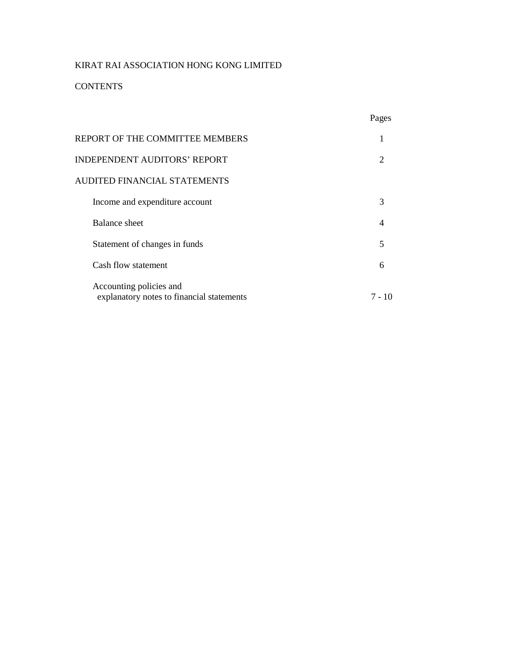# **CONTENTS**

|                                                                      | Pages                       |
|----------------------------------------------------------------------|-----------------------------|
| REPORT OF THE COMMITTEE MEMBERS                                      | 1                           |
| <b>INDEPENDENT AUDITORS' REPORT</b>                                  | $\mathcal{D}_{\mathcal{L}}$ |
| AUDITED FINANCIAL STATEMENTS                                         |                             |
| Income and expenditure account                                       | 3                           |
| <b>Balance</b> sheet                                                 | 4                           |
| Statement of changes in funds                                        | 5                           |
| Cash flow statement                                                  | 6                           |
| Accounting policies and<br>explanatory notes to financial statements | $7 - 10$                    |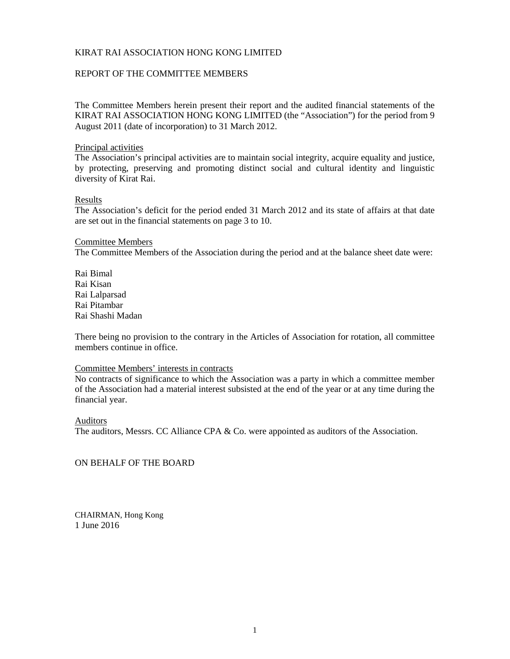## REPORT OF THE COMMITTEE MEMBERS

The Committee Members herein present their report and the audited financial statements of the KIRAT RAI ASSOCIATION HONG KONG LIMITED (the "Association") for the period from 9 August 2011 (date of incorporation) to 31 March 2012.

#### Principal activities

The Association's principal activities are to maintain social integrity, acquire equality and justice, by protecting, preserving and promoting distinct social and cultural identity and linguistic diversity of Kirat Rai.

### Results

The Association's deficit for the period ended 31 March 2012 and its state of affairs at that date are set out in the financial statements on page 3 to 10.

#### Committee Members

The Committee Members of the Association during the period and at the balance sheet date were:

Rai Bimal Rai Kisan Rai Lalparsad Rai Pitambar Rai Shashi Madan

There being no provision to the contrary in the Articles of Association for rotation, all committee members continue in office.

#### Committee Members' interests in contracts

No contracts of significance to which the Association was a party in which a committee member of the Association had a material interest subsisted at the end of the year or at any time during the financial year.

#### Auditors

The auditors, Messrs. CC Alliance CPA & Co. were appointed as auditors of the Association.

ON BEHALF OF THE BOARD

CHAIRMAN, Hong Kong 1 June 2016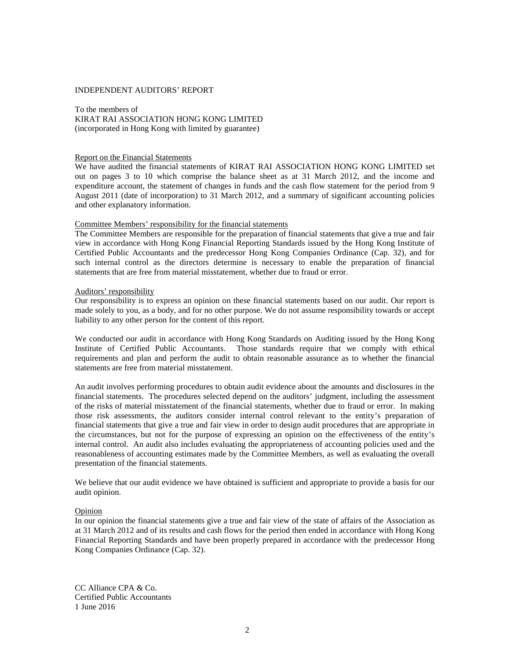#### INDEPENDENT AUDITORS' REPORT

To the members of KIRAT RAI ASSOCIATION HONG KONG LIMITED (incorporated in Hong Kong with limited by guarantee)

#### Report on the Financial Statements

We have audited the financial statements of KIRAT RAI ASSOCIATION HONG KONG LIMITED set out on pages 3 to 10 which comprise the balance sheet as at 31 March 2012, and the income and expenditure account, the statement of changes in funds and the cash flow statement for the period from 9 August 2011 (date of incorporation) to 31 March 2012, and a summary of significant accounting policies and other explanatory information.

#### Committee Members' responsibility for the financial statements

The Committee Members are responsible for the preparation of financial statements that give a true and fair view in accordance with Hong Kong Financial Reporting Standards issued by the Hong Kong Institute of Certified Public Accountants and the predecessor Hong Kong Companies Ordinance (Cap. 32), and for such internal control as the directors determine is necessary to enable the preparation of financial statements that are free from material misstatement, whether due to fraud or error.

#### Auditors' responsibility

Our responsibility is to express an opinion on these financial statements based on our audit. Our report is made solely to you, as a body, and for no other purpose. We do not assume responsibility towards or accept liability to any other person for the content of this report.

We conducted our audit in accordance with Hong Kong Standards on Auditing issued by the Hong Kong Institute of Certified Public Accountants. Those standards require that we comply with ethical requirements and plan and perform the audit to obtain reasonable assurance as to whether the financial statements are free from material misstatement.

An audit involves performing procedures to obtain audit evidence about the amounts and disclosures in the financial statements. The procedures selected depend on the auditors' judgment, including the assessment of the risks of material misstatement of the financial statements, whether due to fraud or error. In making those risk assessments, the auditors consider internal control relevant to the entity's preparation of financial statements that give a true and fair view in order to design audit procedures that are appropriate in the circumstances, but not for the purpose of expressing an opinion on the effectiveness of the entity's internal control. An audit also includes evaluating the appropriateness of accounting policies used and the reasonableness of accounting estimates made by the Committee Members, as well as evaluating the overall presentation of the financial statements.

We believe that our audit evidence we have obtained is sufficient and appropriate to provide a basis for our audit opinion.

#### Opinion

In our opinion the financial statements give a true and fair view of the state of affairs of the Association as at 31 March 2012 and of its results and cash flows for the period then ended in accordance with Hong Kong Financial Reporting Standards and have been properly prepared in accordance with the predecessor Hong Kong Companies Ordinance (Cap. 32).

CC Alliance CPA & Co. Certified Public Accountants 1 June 2016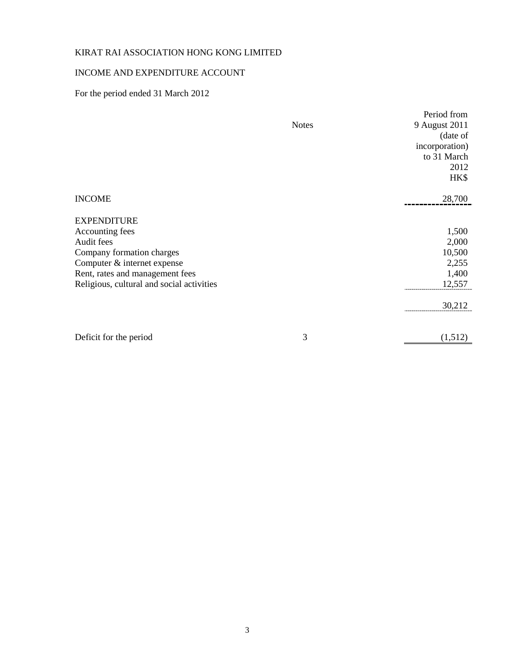# INCOME AND EXPENDITURE ACCOUNT

# For the period ended 31 March 2012

|                                                                                                                                                                                                 | <b>Notes</b> | Period from<br>9 August 2011<br>(date of<br>incorporation)<br>to 31 March<br>2012<br>HK\$ |
|-------------------------------------------------------------------------------------------------------------------------------------------------------------------------------------------------|--------------|-------------------------------------------------------------------------------------------|
| <b>INCOME</b>                                                                                                                                                                                   |              | 28,700                                                                                    |
| <b>EXPENDITURE</b><br>Accounting fees<br>Audit fees<br>Company formation charges<br>Computer & internet expense<br>Rent, rates and management fees<br>Religious, cultural and social activities |              | 1,500<br>2,000<br>10,500<br>2,255<br>1,400<br>12,557                                      |
|                                                                                                                                                                                                 |              | 30,212                                                                                    |
| Deficit for the period                                                                                                                                                                          | 3            | (1,512)                                                                                   |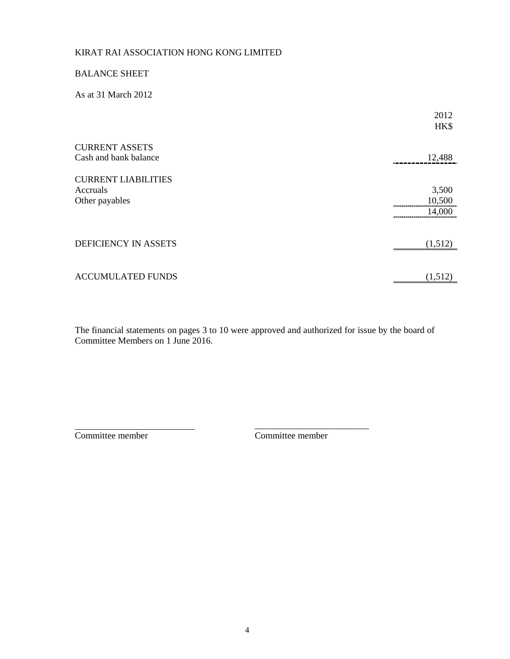# BALANCE SHEET

As at 31 March 2012

|                                                | 2012<br>HK\$ |
|------------------------------------------------|--------------|
| <b>CURRENT ASSETS</b><br>Cash and bank balance |              |
|                                                | 12,488       |
| <b>CURRENT LIABILITIES</b>                     |              |
| Accruals                                       | 3,500        |
| Other payables                                 | 10,500       |
|                                                | 14,000       |
| DEFICIENCY IN ASSETS                           | (1,512)      |
| <b>ACCUMULATED FUNDS</b>                       | (1,512)      |

The financial statements on pages 3 to 10 were approved and authorized for issue by the board of Committee Members on 1 June 2016.

Committee member Committee member

\_\_\_\_\_\_\_\_\_\_\_\_\_\_\_\_\_\_\_\_\_\_\_\_\_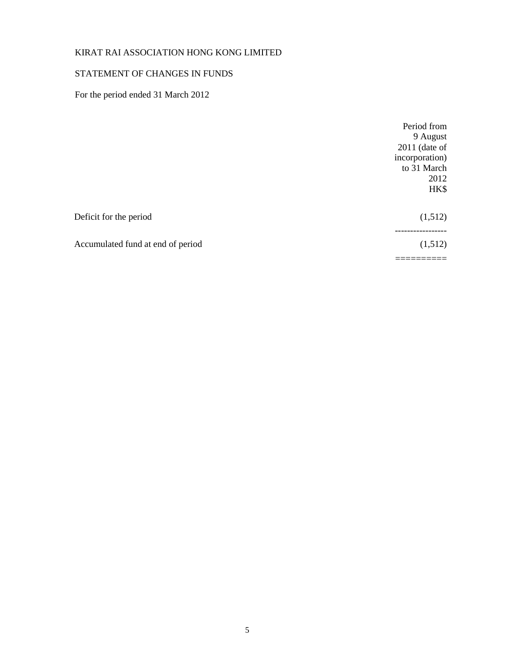# STATEMENT OF CHANGES IN FUNDS

# For the period ended 31 March 2012

|                                   | Period from<br>9 August<br>$2011$ (date of<br>incorporation)<br>to 31 March<br>2012 |  |
|-----------------------------------|-------------------------------------------------------------------------------------|--|
|                                   | HK\$                                                                                |  |
| Deficit for the period            | (1,512)                                                                             |  |
| Accumulated fund at end of period | (1,512)                                                                             |  |
|                                   |                                                                                     |  |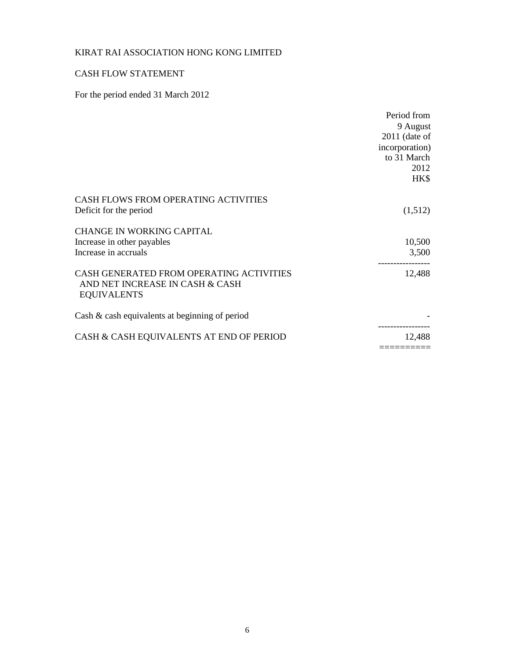# CASH FLOW STATEMENT

# For the period ended 31 March 2012

|                                                                                                   | Period from<br>9 August<br>$2011$ (date of |  |
|---------------------------------------------------------------------------------------------------|--------------------------------------------|--|
|                                                                                                   | incorporation)                             |  |
|                                                                                                   | to 31 March<br>2012                        |  |
|                                                                                                   | HK\$                                       |  |
| CASH FLOWS FROM OPERATING ACTIVITIES                                                              |                                            |  |
| Deficit for the period                                                                            | (1,512)                                    |  |
| <b>CHANGE IN WORKING CAPITAL</b>                                                                  |                                            |  |
| Increase in other payables                                                                        | 10,500                                     |  |
| Increase in accruals                                                                              | 3,500                                      |  |
| CASH GENERATED FROM OPERATING ACTIVITIES<br>AND NET INCREASE IN CASH & CASH<br><b>EQUIVALENTS</b> | 12,488                                     |  |
| Cash & cash equivalents at beginning of period                                                    |                                            |  |
| CASH & CASH EQUIVALENTS AT END OF PERIOD                                                          | 12,488                                     |  |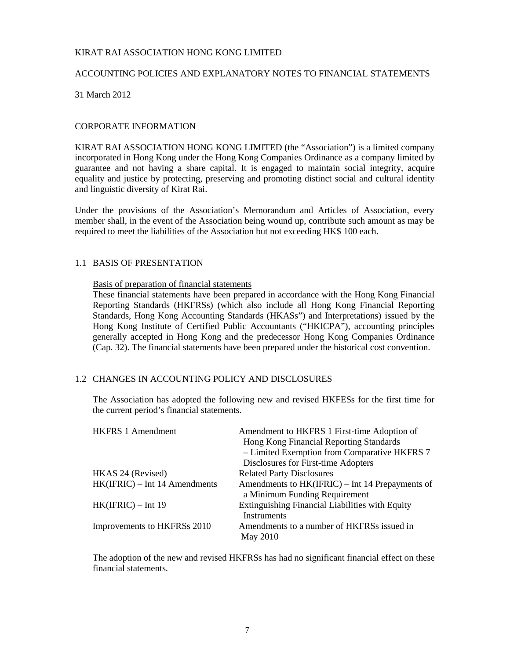## ACCOUNTING POLICIES AND EXPLANATORY NOTES TO FINANCIAL STATEMENTS

31 March 2012

## CORPORATE INFORMATION

KIRAT RAI ASSOCIATION HONG KONG LIMITED (the "Association") is a limited company incorporated in Hong Kong under the Hong Kong Companies Ordinance as a company limited by guarantee and not having a share capital. It is engaged to maintain social integrity, acquire equality and justice by protecting, preserving and promoting distinct social and cultural identity and linguistic diversity of Kirat Rai.

Under the provisions of the Association's Memorandum and Articles of Association, every member shall, in the event of the Association being wound up, contribute such amount as may be required to meet the liabilities of the Association but not exceeding HK\$ 100 each.

### 1.1 BASIS OF PRESENTATION

### Basis of preparation of financial statements

These financial statements have been prepared in accordance with the Hong Kong Financial Reporting Standards (HKFRSs) (which also include all Hong Kong Financial Reporting Standards, Hong Kong Accounting Standards (HKASs") and Interpretations) issued by the Hong Kong Institute of Certified Public Accountants ("HKICPA"), accounting principles generally accepted in Hong Kong and the predecessor Hong Kong Companies Ordinance (Cap. 32). The financial statements have been prepared under the historical cost convention.

#### 1.2 CHANGES IN ACCOUNTING POLICY AND DISCLOSURES

The Association has adopted the following new and revised HKFESs for the first time for the current period's financial statements.

| <b>HKFRS 1 Amendment</b>        | Amendment to HKFRS 1 First-time Adoption of     |
|---------------------------------|-------------------------------------------------|
|                                 | Hong Kong Financial Reporting Standards         |
|                                 | - Limited Exemption from Comparative HKFRS 7    |
|                                 | Disclosures for First-time Adopters             |
| HKAS 24 (Revised)               | <b>Related Party Disclosures</b>                |
| $HK(IFRIC) - Int 14$ Amendments | Amendments to HK(IFRIC) – Int 14 Prepayments of |
|                                 | a Minimum Funding Requirement                   |
| $HK(IFRIC) - Int 19$            | Extinguishing Financial Liabilities with Equity |
|                                 | Instruments                                     |
| Improvements to HKFRSs 2010     | Amendments to a number of HKFRSs issued in      |
|                                 | May 2010                                        |
|                                 |                                                 |

The adoption of the new and revised HKFRSs has had no significant financial effect on these financial statements.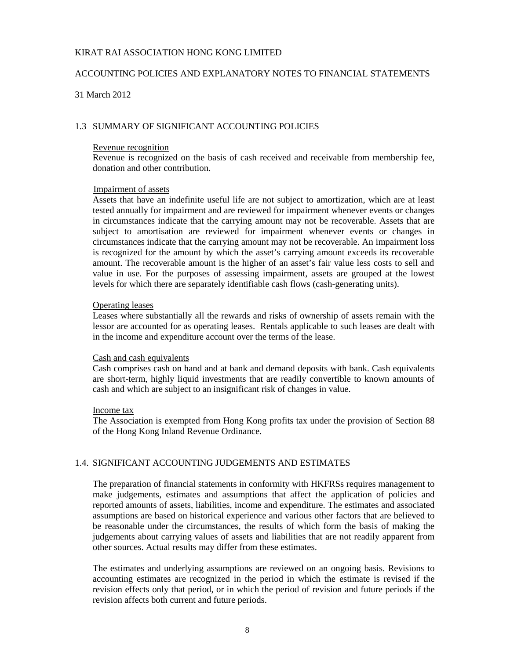### ACCOUNTING POLICIES AND EXPLANATORY NOTES TO FINANCIAL STATEMENTS

#### 31 March 2012

### 1.3 SUMMARY OF SIGNIFICANT ACCOUNTING POLICIES

#### Revenue recognition

Revenue is recognized on the basis of cash received and receivable from membership fee, donation and other contribution.

#### Impairment of assets

Assets that have an indefinite useful life are not subject to amortization, which are at least tested annually for impairment and are reviewed for impairment whenever events or changes in circumstances indicate that the carrying amount may not be recoverable. Assets that are subject to amortisation are reviewed for impairment whenever events or changes in circumstances indicate that the carrying amount may not be recoverable. An impairment loss is recognized for the amount by which the asset's carrying amount exceeds its recoverable amount. The recoverable amount is the higher of an asset's fair value less costs to sell and value in use. For the purposes of assessing impairment, assets are grouped at the lowest levels for which there are separately identifiable cash flows (cash-generating units).

#### Operating leases

Leases where substantially all the rewards and risks of ownership of assets remain with the lessor are accounted for as operating leases. Rentals applicable to such leases are dealt with in the income and expenditure account over the terms of the lease.

#### Cash and cash equivalents

Cash comprises cash on hand and at bank and demand deposits with bank. Cash equivalents are short-term, highly liquid investments that are readily convertible to known amounts of cash and which are subject to an insignificant risk of changes in value.

#### Income tax

The Association is exempted from Hong Kong profits tax under the provision of Section 88 of the Hong Kong Inland Revenue Ordinance.

### 1.4. SIGNIFICANT ACCOUNTING JUDGEMENTS AND ESTIMATES

The preparation of financial statements in conformity with HKFRSs requires management to make judgements, estimates and assumptions that affect the application of policies and reported amounts of assets, liabilities, income and expenditure. The estimates and associated assumptions are based on historical experience and various other factors that are believed to be reasonable under the circumstances, the results of which form the basis of making the judgements about carrying values of assets and liabilities that are not readily apparent from other sources. Actual results may differ from these estimates.

The estimates and underlying assumptions are reviewed on an ongoing basis. Revisions to accounting estimates are recognized in the period in which the estimate is revised if the revision effects only that period, or in which the period of revision and future periods if the revision affects both current and future periods.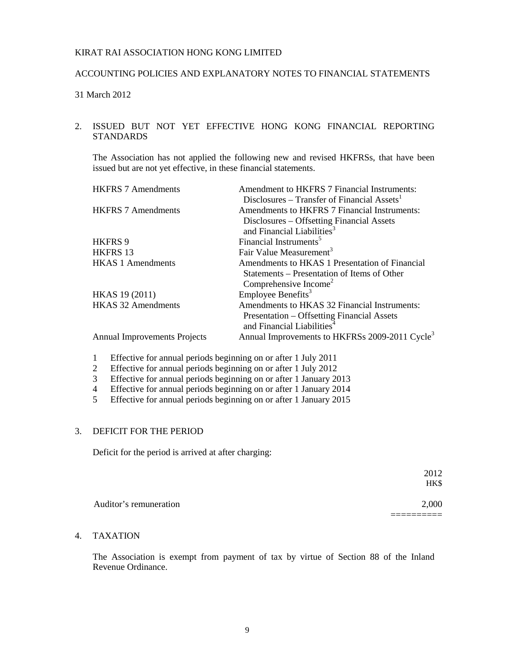# ACCOUNTING POLICIES AND EXPLANATORY NOTES TO FINANCIAL STATEMENTS

31 March 2012

## 2. ISSUED BUT NOT YET EFFECTIVE HONG KONG FINANCIAL REPORTING **STANDARDS**

The Association has not applied the following new and revised HKFRSs, that have been issued but are not yet effective, in these financial statements.

| Amendment to HKFRS 7 Financial Instruments:                |
|------------------------------------------------------------|
| Disclosures – Transfer of Financial Assets <sup>1</sup>    |
| Amendments to HKFRS 7 Financial Instruments:               |
| Disclosures - Offsetting Financial Assets                  |
| and Financial Liabilities <sup>3</sup>                     |
| Financial Instruments <sup>5</sup>                         |
| Fair Value Measurement <sup>3</sup>                        |
| Amendments to HKAS 1 Presentation of Financial             |
| Statements – Presentation of Items of Other                |
| Comprehensive Income <sup>2</sup>                          |
| Employee Benefits <sup>3</sup>                             |
| Amendments to HKAS 32 Financial Instruments:               |
| Presentation - Offsetting Financial Assets                 |
| and Financial Liabilities <sup>4</sup>                     |
| Annual Improvements to HKFRSs 2009-2011 Cycle <sup>3</sup> |
|                                                            |

1 Effective for annual periods beginning on or after 1 July 2011

2 Effective for annual periods beginning on or after 1 July 2012

3 Effective for annual periods beginning on or after 1 January 2013

4 Effective for annual periods beginning on or after 1 January 2014<br>5 Effective for annual periods beginning on or after 1 January 2015

5 Effective for annual periods beginning on or after 1 January 2015

### 3. DEFICIT FOR THE PERIOD

Deficit for the period is arrived at after charging:

|                        | 2012<br>HK\$     |  |
|------------------------|------------------|--|
| Auditor's remuneration | 2,000<br>_______ |  |

# 4. TAXATION

The Association is exempt from payment of tax by virtue of Section 88 of the Inland Revenue Ordinance.